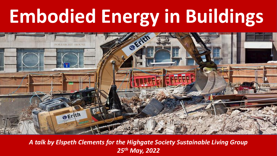# **Embodied Energy in Buildings**



*A talk by Elspeth Clements for the Highgate Society Sustainable Living Group 25th May, 2022*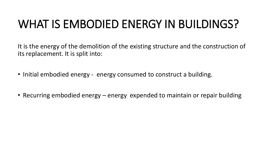### WHAT IS EMBODIED ENERGY IN BUILDINGS?

It is the energy of the demolition of the existing structure and the construction of its replacement. It is split into:

- Initial embodied energy energy consumed to construct a building.
- Recurring embodied energy energy expended to maintain or repair building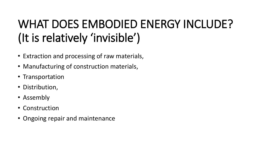## WHAT DOES EMBODIED ENERGY INCLUDE? (It is relatively 'invisible')

- Extraction and processing of raw materials,
- Manufacturing of construction materials,
- Transportation
- Distribution,
- Assembly
- Construction
- Ongoing repair and maintenance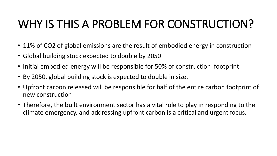## WHY IS THIS A PROBLEM FOR CONSTRUCTION?

- 11% of CO2 of global emissions are the result of embodied energy in construction
- Global building stock expected to double by 2050
- Initial embodied energy will be responsible for 50% of construction footprint
- By 2050, global building stock is expected to double in size.
- Upfront carbon released will be responsible for half of the entire carbon footprint of new construction
- Therefore, the built environment sector has a vital role to play in responding to the climate emergency, and addressing upfront carbon is a critical and urgent focus.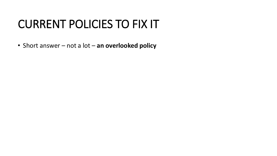### CURRENT POLICIES TO FIX IT

• Short answer – not a lot – **an overlooked policy**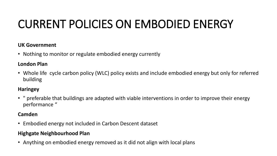# CURRENT POLICIES ON EMBODIED ENERGY

#### **UK Government**

• Nothing to monitor or regulate embodied energy currently

#### **London Plan**

• Whole life cycle carbon policy (WLC) policy exists and include embodied energy but only for referred building

#### **Haringey**

• " preferable that buildings are adapted with viable interventions in order to improve their energy performance "

#### **Camden**

• Embodied energy not included in Carbon Descent dataset

#### **Highgate Neighbourhood Plan**

• Anything on embodied energy removed as it did not align with local plans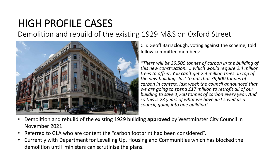### HIGH PROFILE CASES

Demolition and rebuild of the existing 1929 M&S on Oxford Street



Cllr. Geoff Barraclough, voting against the scheme, told fellow committee members:

*"There will be 39,500 tonnes of carbon in the building of this new construction….. which would require 2.4 million trees to offset. You can't get 2.4 million trees on top of the new building. Just to put that 39,500 tonnes of carbon in context, last week the council announced that we are going to spend £17 million to retrofit all of our building to save 1,700 tonnes of carbon every year. And so this is 23 years of what we have just saved as a council, going into one building.'*

- Demolition and rebuild of the existing 1929 building **approved** by Westminster City Council in November 2021
- Referred to GLA who are content the "carbon footprint had been considered".
- Currently with Department for Levelling Up, Housing and Communities which has blocked the demolition until ministers can scrutinise the plans.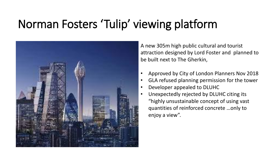# Norman Fosters 'Tulip' viewing platform



A new 305m high public cultural and tourist attraction designed by Lord Foster and planned to be built next to The Gherkin,

- Approved by City of London Planners Nov 2018
- GLA refused planning permission for the tower
- Developer appealed to DLUHC
- Unexpectedly rejected by DLUHC citing its "highly unsustainable concept of using vast quantities of reinforced concrete …only to enjoy a view".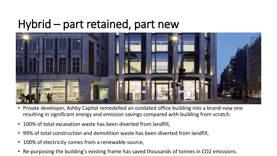### Hybrid – part retained, part new



- Private developer, Ashby Capital remodelled an outdated office building into a brand-new one resulting in significant energy and emission savings compared with building from scratch.
- 100% of total excavation waste has been diverted from landfill,
- 99% of total construction and demolition waste has been diverted from landfill,
- 100% of electricity comes from a renewable source,
- Re-purposing the building's existing frame has saved thousands of tonnes in CO2 emissions.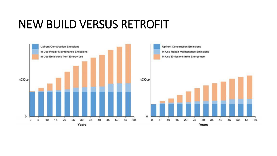### NEW BUILD VERSUS RETROFIT

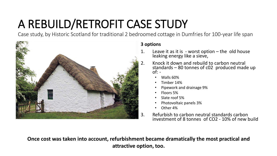# A REBUILD/RETROFIT CASE STUDY

Case study, by Historic Scotland for traditional 2 bedroomed cottage in Dumfries for 100-year life span



#### **3 options**

- 1. Leave it as it is  $\frac{1}{2}$  worst option the old house leaking energy like a sieve,
- 2. Knock it down and rebuild to carbon neutral standards – 80 tonnes of c02 produced made up  $of: -$ 
	- Walls 60%
	- Timber 14%
	- Pipework and drainage 9%
	- Floors 5%
	- Slate roof 5%
	- Photovoltaic panels 3%
	- Other 4%
- 3. Refurbish to carbon neutral standards carbon investment of 8 tonnes of CO2 - 10% of new build

**Once cost was taken into account, refurbishment became dramatically the most practical and attractive option, too.**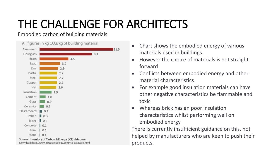# THE CHALLENGE FOR ARCHITECTS

Embodied carbon of building materials



Download: http://www.circularecology.com/ice-database.html

- Chart shows the embodied energy of various materials used in buildings.
- However the choice of materials is not straight forward
- Conflicts between embodied energy and other material characteristics
- For example good insulation materials can have other negative characteristics be flammable and toxic
- Whereas brick has an poor insulation characteristics whilst performing well on embodied energy

There is currently insufficient guidance on this, not helped by manufacturers who are keen to push their products.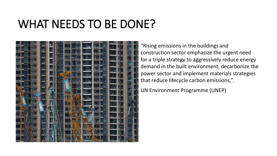### WHAT NEEDS TO BE DONE?



"Rising emissions in the buildings and construction sector emphasize the urgent need for a triple strategy to aggressively reduce energy demand in the built environment, decarbonize the power sector and implement materials strategies that reduce lifecycle carbon emissions,".

UN Environment Programme (UNEP)